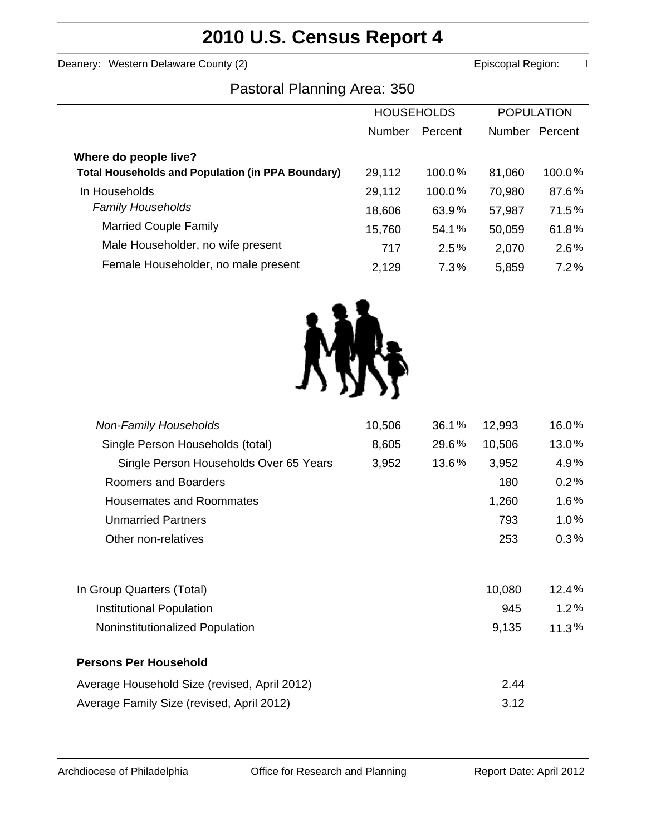# **2010 U.S. Census Report 4**

Deanery: Western Delaware County (2) **Example 2 Example 2 According County County County County County County County County County County County County County County County County County County County County County County** 

### Pastoral Planning Area: 350

|                                                          | <b>HOUSEHOLDS</b> |           | <b>POPULATION</b> |         |
|----------------------------------------------------------|-------------------|-----------|-------------------|---------|
|                                                          | <b>Number</b>     | Percent   | <b>Number</b>     | Percent |
| Where do people live?                                    |                   |           |                   |         |
| <b>Total Households and Population (in PPA Boundary)</b> | 29,112            | $100.0\%$ | 81,060            | 100.0%  |
| In Households                                            | 29,112            | $100.0\%$ | 70,980            | 87.6%   |
| <b>Family Households</b>                                 | 18,606            | 63.9%     | 57,987            | 71.5%   |
| <b>Married Couple Family</b>                             | 15,760            | 54.1%     | 50,059            | 61.8%   |
| Male Householder, no wife present                        | 717               | 2.5%      | 2,070             | 2.6%    |
| Female Householder, no male present                      | 2,129             | 7.3%      | 5,859             | $7.2\%$ |



| <b>Non-Family Households</b>                 | 10,506 | 36.1% | 12,993 | 16.0%   |
|----------------------------------------------|--------|-------|--------|---------|
| Single Person Households (total)             | 8,605  | 29.6% | 10,506 | 13.0%   |
| Single Person Households Over 65 Years       | 3,952  | 13.6% | 3,952  | 4.9%    |
| Roomers and Boarders                         |        |       | 180    | 0.2%    |
| Housemates and Roommates                     |        |       | 1,260  | 1.6%    |
| <b>Unmarried Partners</b>                    |        |       | 793    | 1.0%    |
| Other non-relatives                          |        |       | 253    | $0.3\%$ |
|                                              |        |       |        |         |
| In Group Quarters (Total)                    |        |       | 10,080 | 12.4%   |
| Institutional Population                     |        |       | 945    | 1.2%    |
| Noninstitutionalized Population              |        |       | 9,135  | 11.3%   |
| <b>Persons Per Household</b>                 |        |       |        |         |
| Average Household Size (revised, April 2012) |        |       | 2.44   |         |
| Average Family Size (revised, April 2012)    |        |       | 3.12   |         |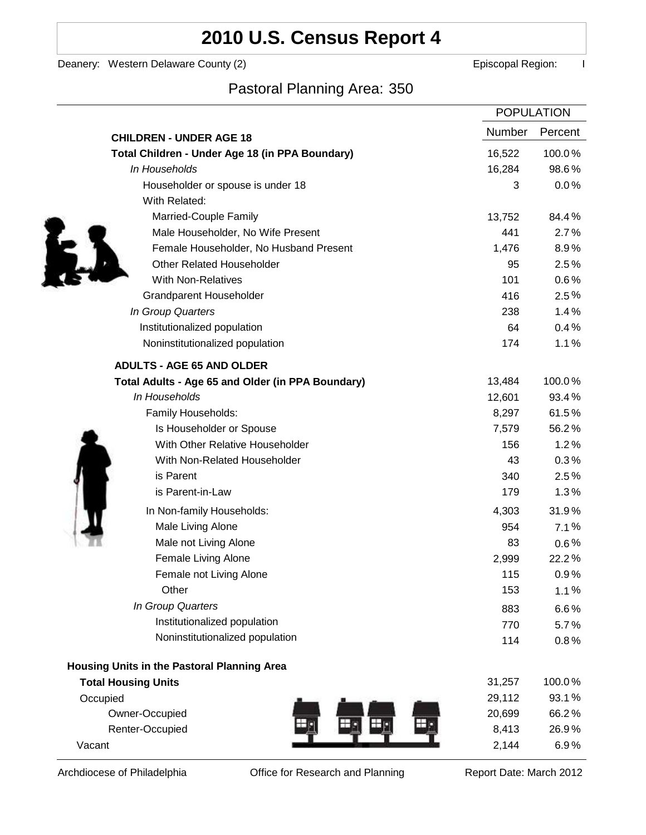# **2010 U.S. Census Report 4**

Deanery: Western Delaware County (2) Deanery: Western Delaware County (2)

Ì

### Pastoral Planning Area: 350

|                                                   | <b>POPULATION</b> |         |
|---------------------------------------------------|-------------------|---------|
| <b>CHILDREN - UNDER AGE 18</b>                    | <b>Number</b>     | Percent |
| Total Children - Under Age 18 (in PPA Boundary)   | 16,522            | 100.0%  |
| In Households                                     | 16,284            | 98.6%   |
| Householder or spouse is under 18                 | 3                 | 0.0%    |
| With Related:                                     |                   |         |
| Married-Couple Family                             | 13,752            | 84.4%   |
| Male Householder, No Wife Present                 | 441               | 2.7%    |
| Female Householder, No Husband Present            | 1,476             | 8.9%    |
| <b>Other Related Householder</b>                  | 95                | 2.5%    |
| <b>With Non-Relatives</b>                         | 101               | 0.6%    |
| <b>Grandparent Householder</b>                    | 416               | $2.5\%$ |
| In Group Quarters                                 | 238               | 1.4%    |
| Institutionalized population                      | 64                | 0.4%    |
| Noninstitutionalized population                   | 174               | 1.1%    |
| <b>ADULTS - AGE 65 AND OLDER</b>                  |                   |         |
| Total Adults - Age 65 and Older (in PPA Boundary) | 13,484            | 100.0%  |
| In Households                                     | 12,601            | 93.4%   |
| Family Households:                                | 8,297             | 61.5%   |
| Is Householder or Spouse                          | 7,579             | 56.2%   |
| With Other Relative Householder                   | 156               | 1.2%    |
| With Non-Related Householder                      | 43                | 0.3%    |
| is Parent                                         | 340               | 2.5%    |
| is Parent-in-Law                                  | 179               | 1.3%    |
| In Non-family Households:                         | 4,303             | 31.9%   |
| Male Living Alone                                 | 954               | 7.1%    |
| Male not Living Alone                             | 83                | $0.6\%$ |
| Female Living Alone                               | 2,999             | 22.2%   |
| Female not Living Alone                           | 115               | 0.9%    |
| Other                                             | 153               | 1.1%    |
| In Group Quarters                                 | 883               | 6.6%    |
| Institutionalized population                      | 770               | 5.7%    |
| Noninstitutionalized population                   | 114               | 0.8%    |
| Housing Units in the Pastoral Planning Area       |                   |         |
| <b>Total Housing Units</b>                        | 31,257            | 100.0%  |
| Occupied                                          | 29,112            | 93.1%   |
| Owner-Occupied                                    | 20,699            | 66.2%   |
| Renter-Occupied                                   | 8,413             | 26.9%   |
| Vacant                                            | 2,144             | 6.9%    |

Archdiocese of Philadelphia **Office for Research and Planning** Report Date: March 2012